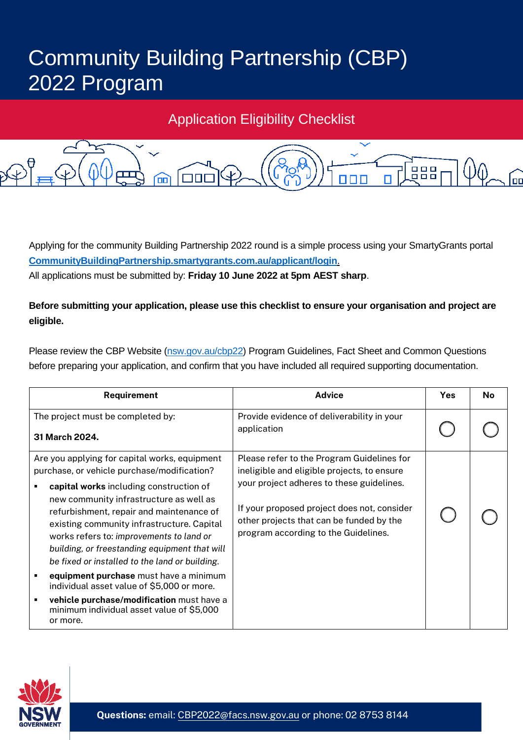## Community Building Partnership (CBP) 2022 Program

## Application Eligibility Checklist



Applying for the community Building Partnership 2022 round is a simple process using your SmartyGrants portal **CommunityBuildingPartnership.smartygrants.com.au/applicant/login**. All applications must be submitted by: **Friday 10 June 2022 at 5pm AEST sharp**.

## **Before submitting your application, please use this checklist to ensure your organisation and project are eligible.**

Please review the CBP Website (nsw.gov.au/cbp22) Program Guidelines, Fact Sheet and Common Questions before preparing your application, and confirm that you have included all required supporting documentation.

| Requirement                                                                                                                                                                                                                                                                                                                                                                                                                                                                                                                                                                                                               | <b>Advice</b>                                                                                                                                                                                                                                                             | <b>Yes</b> | <b>No</b> |
|---------------------------------------------------------------------------------------------------------------------------------------------------------------------------------------------------------------------------------------------------------------------------------------------------------------------------------------------------------------------------------------------------------------------------------------------------------------------------------------------------------------------------------------------------------------------------------------------------------------------------|---------------------------------------------------------------------------------------------------------------------------------------------------------------------------------------------------------------------------------------------------------------------------|------------|-----------|
| The project must be completed by:<br>31 March 2024.                                                                                                                                                                                                                                                                                                                                                                                                                                                                                                                                                                       | Provide evidence of deliverability in your<br>application                                                                                                                                                                                                                 |            |           |
| Are you applying for capital works, equipment<br>purchase, or vehicle purchase/modification?<br>capital works including construction of<br>new community infrastructure as well as<br>refurbishment, repair and maintenance of<br>existing community infrastructure. Capital<br>works refers to: improvements to land or<br>building, or freestanding equipment that will<br>be fixed or installed to the land or building.<br>equipment purchase must have a minimum<br>individual asset value of \$5,000 or more.<br>vehicle purchase/modification must have a<br>minimum individual asset value of \$5,000<br>or more. | Please refer to the Program Guidelines for<br>ineligible and eligible projects, to ensure<br>your project adheres to these guidelines.<br>If your proposed project does not, consider<br>other projects that can be funded by the<br>program according to the Guidelines. |            |           |

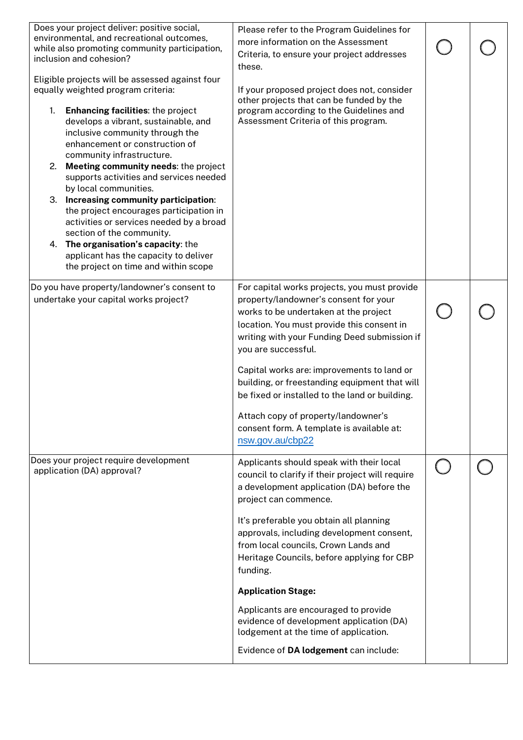| Does your project deliver: positive social,<br>environmental, and recreational outcomes,<br>while also promoting community participation,<br>inclusion and cohesion?<br>Eligible projects will be assessed against four<br>equally weighted program criteria:<br><b>Enhancing facilities: the project</b><br>1.<br>develops a vibrant, sustainable, and<br>inclusive community through the<br>enhancement or construction of<br>community infrastructure.<br>2.<br>Meeting community needs: the project<br>supports activities and services needed<br>by local communities.<br>3. Increasing community participation:<br>the project encourages participation in<br>activities or services needed by a broad<br>section of the community.<br>4. The organisation's capacity: the<br>applicant has the capacity to deliver<br>the project on time and within scope | Please refer to the Program Guidelines for<br>more information on the Assessment<br>Criteria, to ensure your project addresses<br>these.<br>If your proposed project does not, consider<br>other projects that can be funded by the<br>program according to the Guidelines and<br>Assessment Criteria of this program.                                                                                                                                                                                                                                          |  |
|-------------------------------------------------------------------------------------------------------------------------------------------------------------------------------------------------------------------------------------------------------------------------------------------------------------------------------------------------------------------------------------------------------------------------------------------------------------------------------------------------------------------------------------------------------------------------------------------------------------------------------------------------------------------------------------------------------------------------------------------------------------------------------------------------------------------------------------------------------------------|-----------------------------------------------------------------------------------------------------------------------------------------------------------------------------------------------------------------------------------------------------------------------------------------------------------------------------------------------------------------------------------------------------------------------------------------------------------------------------------------------------------------------------------------------------------------|--|
| Do you have property/landowner's consent to<br>undertake your capital works project?                                                                                                                                                                                                                                                                                                                                                                                                                                                                                                                                                                                                                                                                                                                                                                              | For capital works projects, you must provide<br>property/landowner's consent for your<br>works to be undertaken at the project<br>location. You must provide this consent in<br>writing with your Funding Deed submission if<br>you are successful.<br>Capital works are: improvements to land or<br>building, or freestanding equipment that will<br>be fixed or installed to the land or building.<br>Attach copy of property/landowner's<br>consent form. A template is available at:<br>nsw.gov.au/cbp22                                                    |  |
| Does your project require development<br>application (DA) approval?                                                                                                                                                                                                                                                                                                                                                                                                                                                                                                                                                                                                                                                                                                                                                                                               | Applicants should speak with their local<br>council to clarify if their project will require<br>a development application (DA) before the<br>project can commence.<br>It's preferable you obtain all planning<br>approvals, including development consent,<br>from local councils, Crown Lands and<br>Heritage Councils, before applying for CBP<br>funding.<br><b>Application Stage:</b><br>Applicants are encouraged to provide<br>evidence of development application (DA)<br>lodgement at the time of application.<br>Evidence of DA lodgement can include: |  |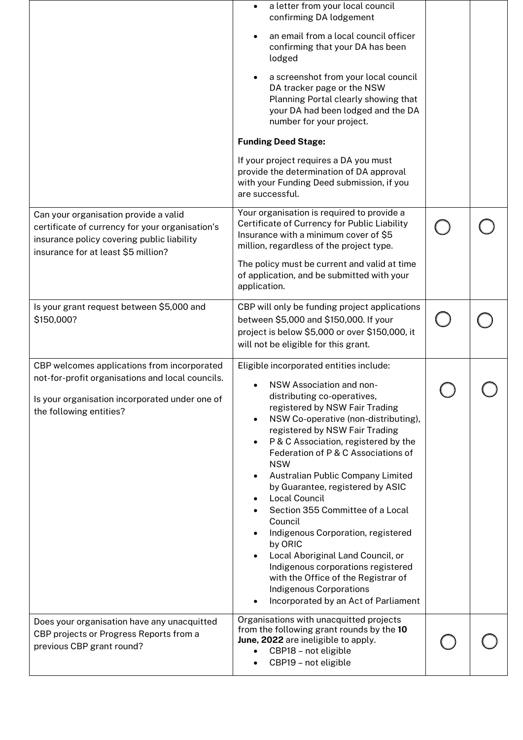|                                                                                                                                                                               | a letter from your local council<br>confirming DA lodgement<br>an email from a local council officer<br>confirming that your DA has been<br>lodged<br>a screenshot from your local council<br>DA tracker page or the NSW<br>Planning Portal clearly showing that<br>your DA had been lodged and the DA<br>number for your project.<br><b>Funding Deed Stage:</b><br>If your project requires a DA you must<br>provide the determination of DA approval<br>with your Funding Deed submission, if you<br>are successful.                                                                                                                                                                            |  |
|-------------------------------------------------------------------------------------------------------------------------------------------------------------------------------|---------------------------------------------------------------------------------------------------------------------------------------------------------------------------------------------------------------------------------------------------------------------------------------------------------------------------------------------------------------------------------------------------------------------------------------------------------------------------------------------------------------------------------------------------------------------------------------------------------------------------------------------------------------------------------------------------|--|
| Can your organisation provide a valid<br>certificate of currency for your organisation's<br>insurance policy covering public liability<br>insurance for at least \$5 million? | Your organisation is required to provide a<br>Certificate of Currency for Public Liability<br>Insurance with a minimum cover of \$5<br>million, regardless of the project type.<br>The policy must be current and valid at time<br>of application, and be submitted with your<br>application.                                                                                                                                                                                                                                                                                                                                                                                                     |  |
| Is your grant request between \$5,000 and<br>\$150,000?                                                                                                                       | CBP will only be funding project applications<br>between \$5,000 and \$150,000. If your<br>project is below \$5,000 or over \$150,000, it<br>will not be eligible for this grant.                                                                                                                                                                                                                                                                                                                                                                                                                                                                                                                 |  |
| CBP welcomes applications from incorporated<br>not-for-profit organisations and local councils.<br>Is your organisation incorporated under one of<br>the following entities?  | Eligible incorporated entities include:<br>NSW Association and non-<br>distributing co-operatives,<br>registered by NSW Fair Trading<br>NSW Co-operative (non-distributing),<br>registered by NSW Fair Trading<br>P & C Association, registered by the<br>Federation of P & C Associations of<br><b>NSW</b><br>Australian Public Company Limited<br>by Guarantee, registered by ASIC<br>Local Council<br>Section 355 Committee of a Local<br>Council<br>Indigenous Corporation, registered<br>by ORIC<br>Local Aboriginal Land Council, or<br>Indigenous corporations registered<br>with the Office of the Registrar of<br><b>Indigenous Corporations</b><br>Incorporated by an Act of Parliament |  |
| Does your organisation have any unacquitted<br>CBP projects or Progress Reports from a<br>previous CBP grant round?                                                           | Organisations with unacquitted projects<br>from the following grant rounds by the 10<br>June, 2022 are ineligible to apply.<br>CBP18 - not eligible<br>CBP19 - not eligible                                                                                                                                                                                                                                                                                                                                                                                                                                                                                                                       |  |